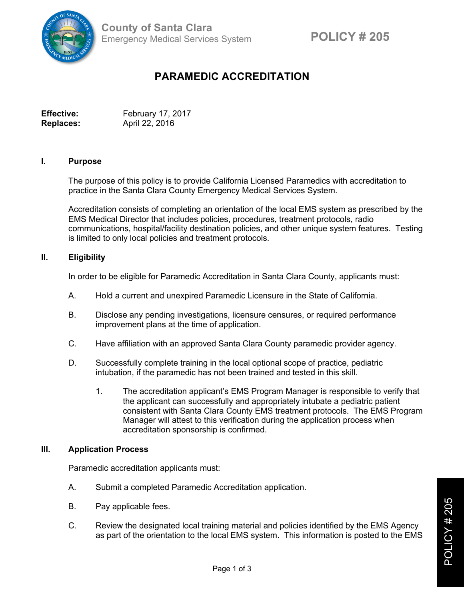

# **PARAMEDIC ACCREDITATION**

**Effective:** February 17, 2017 **Replaces:** April 22, 2016

#### **I. Purpose**

The purpose of this policy is to provide California Licensed Paramedics with accreditation to practice in the Santa Clara County Emergency Medical Services System.

Accreditation consists of completing an orientation of the local EMS system as prescribed by the EMS Medical Director that includes policies, procedures, treatment protocols, radio communications, hospital/facility destination policies, and other unique system features. Testing is limited to only local policies and treatment protocols.

## **II. Eligibility**

In order to be eligible for Paramedic Accreditation in Santa Clara County, applicants must:

- A. Hold a current and unexpired Paramedic Licensure in the State of California.
- B. Disclose any pending investigations, licensure censures, or required performance improvement plans at the time of application.
- C. Have affiliation with an approved Santa Clara County paramedic provider agency.
- D. Successfully complete training in the local optional scope of practice, pediatric intubation, if the paramedic has not been trained and tested in this skill.
	- 1. The accreditation applicant's EMS Program Manager is responsible to verify that the applicant can successfully and appropriately intubate a pediatric patient consistent with Santa Clara County EMS treatment protocols. The EMS Program Manager will attest to this verification during the application process when accreditation sponsorship is confirmed.

#### **III. Application Process**

Paramedic accreditation applicants must:

- A. Submit a completed Paramedic Accreditation application.
- B. Pay applicable fees.
- C. Review the designated local training material and policies identified by the EMS Agency as part of the orientation to the local EMS system. This information is posted to the EMS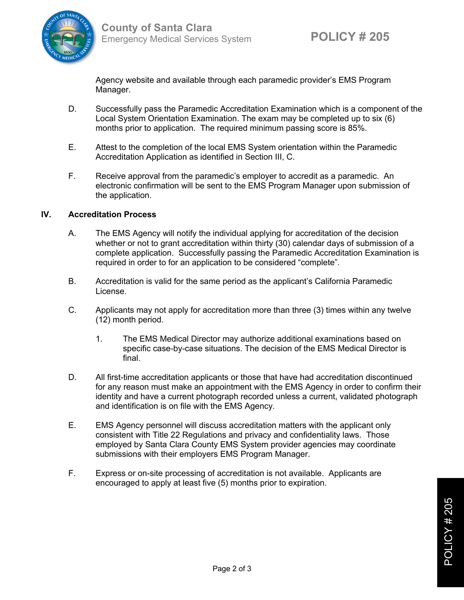

Agency website and available through each paramedic provider's EMS Program Manager.

- D. Successfully pass the Paramedic Accreditation Examination which is a component of the Local System Orientation Examination. The exam may be completed up to six (6) months prior to application. The required minimum passing score is 85%.
- E. Attest to the completion of the local EMS System orientation within the Paramedic Accreditation Application as identified in Section III, C.
- F. Receive approval from the paramedic's employer to accredit as a paramedic. An electronic confirmation will be sent to the EMS Program Manager upon submission of the application.

## **IV. Accreditation Process**

- A. The EMS Agency will notify the individual applying for accreditation of the decision whether or not to grant accreditation within thirty (30) calendar days of submission of a complete application. Successfully passing the Paramedic Accreditation Examination is required in order to for an application to be considered "complete".
- B. Accreditation is valid for the same period as the applicant's California Paramedic License.
- C. Applicants may not apply for accreditation more than three (3) times within any twelve (12) month period.
	- 1. The EMS Medical Director may authorize additional examinations based on specific case-by-case situations. The decision of the EMS Medical Director is final.
- D. All first-time accreditation applicants or those that have had accreditation discontinued for any reason must make an appointment with the EMS Agency in order to confirm their identity and have a current photograph recorded unless a current, validated photograph and identification is on file with the EMS Agency.
- E. EMS Agency personnel will discuss accreditation matters with the applicant only consistent with Title 22 Regulations and privacy and confidentiality laws. Those employed by Santa Clara County EMS System provider agencies may coordinate submissions with their employers EMS Program Manager.
- F. Express or on-site processing of accreditation is not available. Applicants are encouraged to apply at least five (5) months prior to expiration.